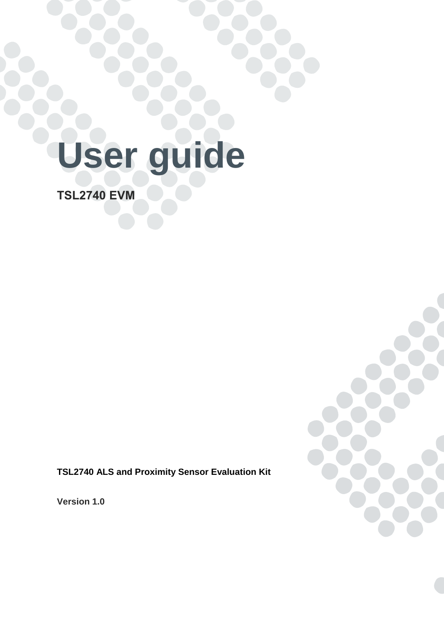# **User guide**

**TSL2740 EVM**

**TSL2740 ALS and Proximity Sensor Evaluation Kit**

**Version 1.0**

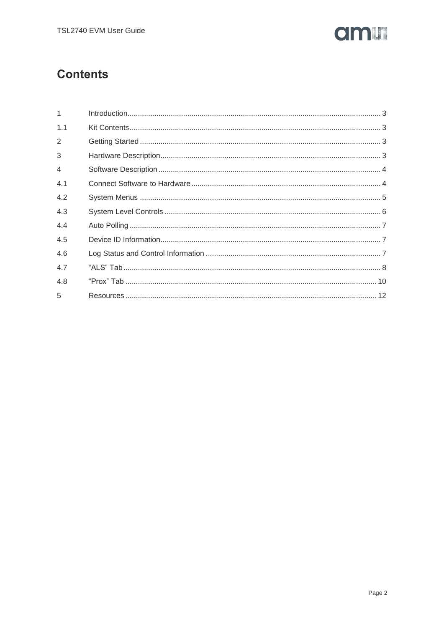

# **Contents**

| 1              |  |
|----------------|--|
| 1.1            |  |
| $\overline{2}$ |  |
| 3              |  |
| $\overline{4}$ |  |
| 4.1            |  |
| 4.2            |  |
| 4.3            |  |
| 4.4            |  |
| 4.5            |  |
| 4.6            |  |
| 4.7            |  |
| 4.8            |  |
| 5              |  |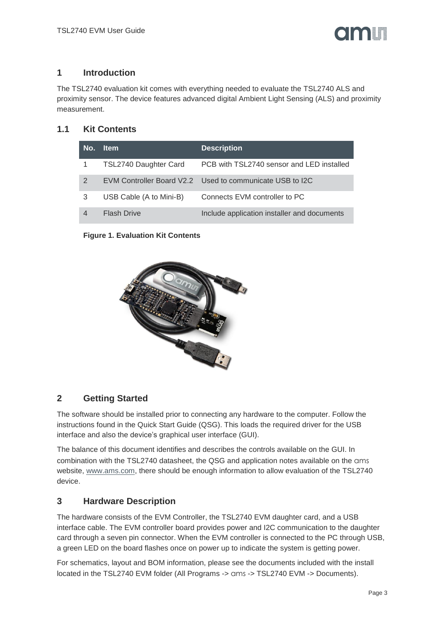

#### <span id="page-2-0"></span>**1 Introduction**

The TSL2740 evaluation kit comes with everything needed to evaluate the TSL2740 ALS and proximity sensor. The device features advanced digital Ambient Light Sensing (ALS) and proximity measurement.

## <span id="page-2-1"></span>**1.1 Kit Contents**

| No.            | <b>Item</b>             | <b>Description</b>                                       |
|----------------|-------------------------|----------------------------------------------------------|
|                | TSL2740 Daughter Card   | PCB with TSL2740 sensor and LED installed                |
| $\overline{2}$ |                         | EVM Controller Board V2.2 Used to communicate USB to I2C |
| 3              | USB Cable (A to Mini-B) | Connects EVM controller to PC                            |
| 4              | <b>Flash Drive</b>      | Include application installer and documents              |

**Figure 1. Evaluation Kit Contents**



# <span id="page-2-2"></span>**2 Getting Started**

The software should be installed prior to connecting any hardware to the computer. Follow the instructions found in the Quick Start Guide (QSG). This loads the required driver for the USB interface and also the device's graphical user interface (GUI).

The balance of this document identifies and describes the controls available on the GUI. In combination with the TSL2740 datasheet, the QSG and application notes available on the ams website, [www.ams.com,](http://www.ams.com/) there should be enough information to allow evaluation of the TSL2740 device.

# <span id="page-2-3"></span>**3 Hardware Description**

The hardware consists of the EVM Controller, the TSL2740 EVM daughter card, and a USB interface cable. The EVM controller board provides power and I2C communication to the daughter card through a seven pin connector. When the EVM controller is connected to the PC through USB, a green LED on the board flashes once on power up to indicate the system is getting power.

For schematics, layout and BOM information, please see the documents included with the install located in the TSL2740 EVM folder (All Programs -> ams -> TSL2740 EVM -> Documents).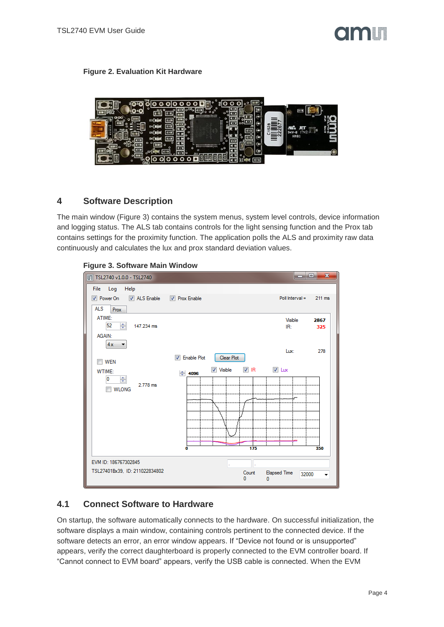#### **Figure 2. Evaluation Kit Hardware**



#### <span id="page-3-0"></span>**4 Software Description**

The main window [\(Figure 3\)](#page-3-2) contains the system menus, system level controls, device information and logging status. The ALS tab contains controls for the light sensing function and the Prox tab contains settings for the proximity function. The application polls the ALS and proximity raw data continuously and calculates the lux and prox standard deviation values.

#### <span id="page-3-2"></span>**Figure 3. Software Main Window**



#### <span id="page-3-1"></span>**4.1 Connect Software to Hardware**

On startup, the software automatically connects to the hardware. On successful initialization, the software displays a main window, containing controls pertinent to the connected device. If the software detects an error, an error window appears. If "Device not found or is unsupported" appears, verify the correct daughterboard is properly connected to the EVM controller board. If "Cannot connect to EVM board" appears, verify the USB cable is connected. When the EVM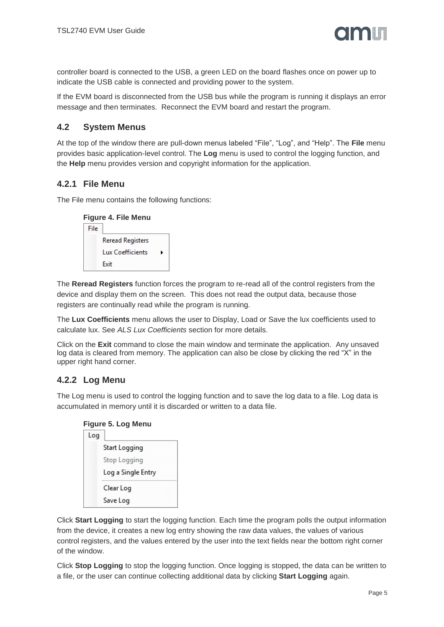controller board is connected to the USB, a green LED on the board flashes once on power up to indicate the USB cable is connected and providing power to the system.

If the EVM board is disconnected from the USB bus while the program is running it displays an error message and then terminates. Reconnect the EVM board and restart the program.

#### <span id="page-4-0"></span>**4.2 System Menus**

At the top of the window there are pull-down menus labeled "File", "Log", and "Help". The **File** menu provides basic application-level control. The **Log** menu is used to control the logging function, and the **Help** menu provides version and copyright information for the application.

## **4.2.1 File Menu**

The File menu contains the following functions:

|      | <b>Figure 4. File Menu</b> |  |
|------|----------------------------|--|
| File |                            |  |
|      | <b>Reread Registers</b>    |  |
|      | <b>Lux Coefficients</b>    |  |

Exit

The **Reread Registers** function forces the program to re-read all of the control registers from the device and display them on the screen. This does not read the output data, because those registers are continually read while the program is running.

The **Lux Coefficients** menu allows the user to Display, Load or Save the lux coefficients used to calculate lux. See *[ALS Lux Coefficients](#page-7-1)* section for more details.

Click on the **Exit** command to close the main window and terminate the application. Any unsaved log data is cleared from memory. The application can also be close by clicking the red "X" in the upper right hand corner.

# **4.2.2 Log Menu**

The Log menu is used to control the logging function and to save the log data to a file. Log data is accumulated in memory until it is discarded or written to a data file.

| <b>Figure 5. Log Menu</b> |  |  |
|---------------------------|--|--|
|                           |  |  |

| Log |                      |
|-----|----------------------|
|     | <b>Start Logging</b> |
|     | <b>Stop Logging</b>  |
|     | Log a Single Entry   |
|     | Clear Log            |
|     | Save Log             |

Click **Start Logging** to start the logging function. Each time the program polls the output information from the device, it creates a new log entry showing the raw data values, the values of various control registers, and the values entered by the user into the text fields near the bottom right corner of the window.

Click **Stop Logging** to stop the logging function. Once logging is stopped, the data can be written to a file, or the user can continue collecting additional data by clicking **Start Logging** again.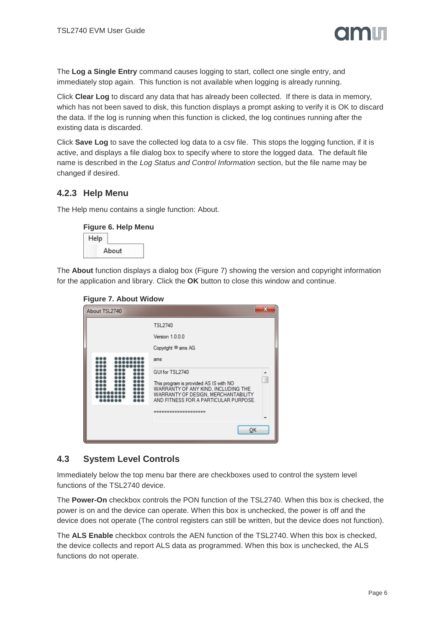

The **Log a Single Entry** command causes logging to start, collect one single entry, and immediately stop again. This function is not available when logging is already running.

Click **Clear Log** to discard any data that has already been collected. If there is data in memory, which has not been saved to disk, this function displays a prompt asking to verify it is OK to discard the data. If the log is running when this function is clicked, the log continues running after the existing data is discarded.

Click **Save Log** to save the collected log data to a csv file. This stops the logging function, if it is active, and displays a file dialog box to specify where to store the logged data. The default file name is described in the *[Log Status and Control Information](#page-6-2)* section, but the file name may be changed if desired.

#### **4.2.3 Help Menu**

The Help menu contains a single function: About.

#### **Figure 6. Help Menu**

| öΪ |
|----|

<span id="page-5-1"></span>The **About** function displays a dialog box [\(Figure 7\)](#page-5-1) showing the version and copyright information for the application and library. Click the **OK** button to close this window and continue.

#### **Figure 7. About Widow**

| About TSL2740 |                                                                                                                                                                                                           | 33 |
|---------------|-----------------------------------------------------------------------------------------------------------------------------------------------------------------------------------------------------------|----|
|               | <b>TSL2740</b>                                                                                                                                                                                            |    |
|               | Version 1.0.0.0                                                                                                                                                                                           |    |
|               | Copyright <sup>@</sup> ams AG                                                                                                                                                                             |    |
|               | ams<br>GUI for TSL2740<br>This program is provided AS IS with NO<br>WARRANTY OF ANY KIND, INCLUDING THE<br>WARRANTY OF DESIGN, MERCHANTABILITY<br>AND FITNESS FOR A PARTICULAR PURPOSE.<br>-------------- |    |
|               | ок                                                                                                                                                                                                        |    |

#### <span id="page-5-0"></span>**4.3 System Level Controls**

Immediately below the top menu bar there are checkboxes used to control the system level functions of the TSL2740 device.

The **Power-On** checkbox controls the PON function of the TSL2740. When this box is checked, the power is on and the device can operate. When this box is unchecked, the power is off and the device does not operate (The control registers can still be written, but the device does not function).

The **ALS Enable** checkbox controls the AEN function of the TSL2740. When this box is checked, the device collects and report ALS data as programmed. When this box is unchecked, the ALS functions do not operate.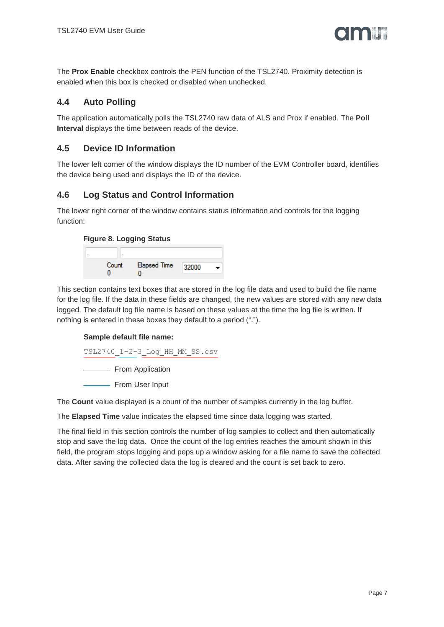

The **Prox Enable** checkbox controls the PEN function of the TSL2740. Proximity detection is enabled when this box is checked or disabled when unchecked.

#### <span id="page-6-0"></span>**4.4 Auto Polling**

The application automatically polls the TSL2740 raw data of ALS and Prox if enabled. The **Poll Interval** displays the time between reads of the device.

#### <span id="page-6-1"></span>**4.5 Device ID Information**

The lower left corner of the window displays the ID number of the EVM Controller board, identifies the device being used and displays the ID of the device.

#### <span id="page-6-2"></span>**4.6 Log Status and Control Information**

The lower right corner of the window contains status information and controls for the logging function:

#### **Figure 8. Logging Status**



This section contains text boxes that are stored in the log file data and used to build the file name for the log file. If the data in these fields are changed, the new values are stored with any new data logged. The default log file name is based on these values at the time the log file is written. If nothing is entered in these boxes they default to a period (".").

#### **Sample default file name:**

```
TSL2740_1-2-3_Log_HH_MM_SS.csv
```
- From Application

- From User Input

The **Count** value displayed is a count of the number of samples currently in the log buffer.

The **Elapsed Time** value indicates the elapsed time since data logging was started.

The final field in this section controls the number of log samples to collect and then automatically stop and save the log data. Once the count of the log entries reaches the amount shown in this field, the program stops logging and pops up a window asking for a file name to save the collected data. After saving the collected data the log is cleared and the count is set back to zero.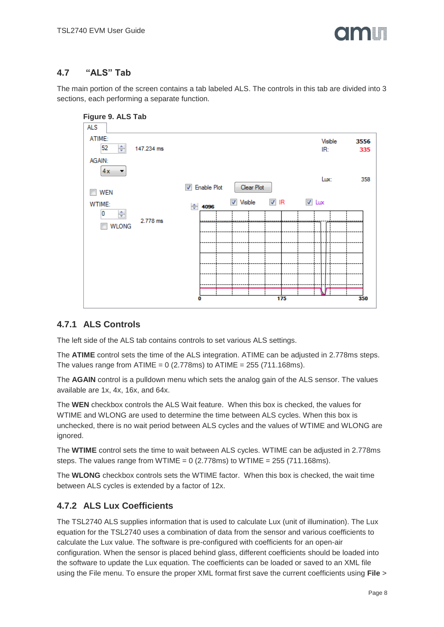

# <span id="page-7-0"></span>**4.7 "ALS" Tab**

The main portion of the screen contains a tab labeled ALS. The controls in this tab are divided into 3 sections, each performing a separate function.



#### **4.7.1 ALS Controls**

The left side of the ALS tab contains controls to set various ALS settings.

The **ATIME** control sets the time of the ALS integration. ATIME can be adjusted in 2.778ms steps. The values range from ATIME =  $0$  (2.778ms) to ATIME = 255 (711.168ms).

The **AGAIN** control is a pulldown menu which sets the analog gain of the ALS sensor. The values available are 1x, 4x, 16x, and 64x.

The **WEN** checkbox controls the ALS Wait feature. When this box is checked, the values for WTIME and WLONG are used to determine the time between ALS cycles. When this box is unchecked, there is no wait period between ALS cycles and the values of WTIME and WLONG are ignored.

The **WTIME** control sets the time to wait between ALS cycles. WTIME can be adjusted in 2.778ms steps. The values range from WTIME =  $0$  (2.778ms) to WTIME = 255 (711.168ms).

The **WLONG** checkbox controls sets the WTIME factor. When this box is checked, the wait time between ALS cycles is extended by a factor of 12x.

# <span id="page-7-1"></span>**4.7.2 ALS Lux Coefficients**

The TSL2740 ALS supplies information that is used to calculate Lux (unit of illumination). The Lux equation for the TSL2740 uses a combination of data from the sensor and various coefficients to calculate the Lux value. The software is pre-configured with coefficients for an open-air configuration. When the sensor is placed behind glass, different coefficients should be loaded into the software to update the Lux equation. The coefficients can be loaded or saved to an XML file using the File menu. To ensure the proper XML format first save the current coefficients using **File** >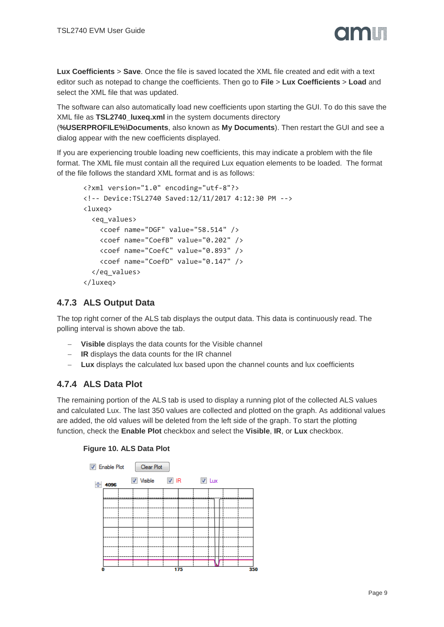

**Lux Coefficients** > **Save**. Once the file is saved located the XML file created and edit with a text editor such as notepad to change the coefficients. Then go to **File** > **Lux Coefficients** > **Load** and select the XML file that was updated.

The software can also automatically load new coefficients upon starting the GUI. To do this save the XML file as **TSL2740\_luxeq.xml** in the system documents directory

(**%USERPROFILE%\Documents**, also known as **My Documents**). Then restart the GUI and see a dialog appear with the new coefficients displayed.

If you are experiencing trouble loading new coefficients, this may indicate a problem with the file format. The XML file must contain all the required Lux equation elements to be loaded. The format of the file follows the standard XML format and is as follows:

```
<?xml version="1.0" encoding="utf-8"?>
<!-- Device:TSL2740 Saved:12/11/2017 4:12:30 PM -->
<luxeq>
   <eq_values>
     <coef name="DGF" value="58.514" />
     <coef name="CoefB" value="0.202" />
     <coef name="CoefC" value="0.893" />
     <coef name="CoefD" value="0.147" />
   </eq_values>
</luxeq>
```
## **4.7.3 ALS Output Data**

The top right corner of the ALS tab displays the output data. This data is continuously read. The polling interval is shown above the tab.

- **Visible** displays the data counts for the Visible channel
- **IR** displays the data counts for the IR channel
- **Lux** displays the calculated lux based upon the channel counts and lux coefficients

# **4.7.4 ALS Data Plot**

The remaining portion of the ALS tab is used to display a running plot of the collected ALS values and calculated Lux. The last 350 values are collected and plotted on the graph. As additional values are added, the old values will be deleted from the left side of the graph. To start the plotting function, check the **Enable Plot** checkbox and select the **Visible**, **IR**, or **Lux** checkbox.



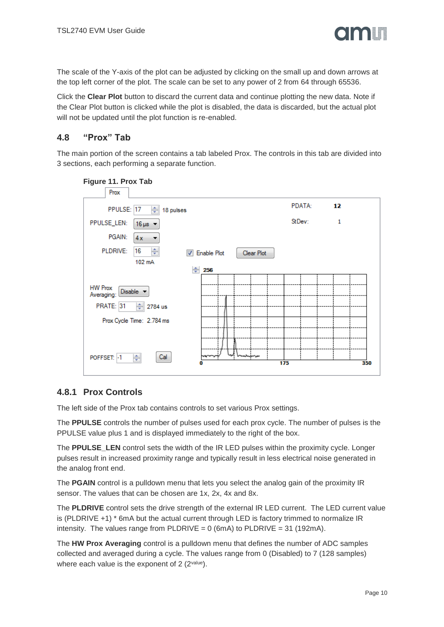

The scale of the Y-axis of the plot can be adjusted by clicking on the small up and down arrows at the top left corner of the plot. The scale can be set to any power of 2 from 64 through 65536.

Click the **Clear Plot** button to discard the current data and continue plotting the new data. Note if the Clear Plot button is clicked while the plot is disabled, the data is discarded, but the actual plot will not be updated until the plot function is re-enabled.

#### <span id="page-9-0"></span>**4.8 "Prox" Tab**

The main portion of the screen contains a tab labeled Prox. The controls in this tab are divided into 3 sections, each performing a separate function.

| Figure 11. Prox Tab                     |                      |            |            |     |        |    |     |
|-----------------------------------------|----------------------|------------|------------|-----|--------|----|-----|
| Prox                                    |                      |            |            |     |        |    |     |
| PPULSE: 17<br>슦<br>18 pulses            |                      |            |            |     | PDATA: | 12 |     |
| PPULSE_LEN:<br>$16 \mu s$ $\sim$        |                      |            |            |     | StDev: | 1  |     |
| PGAIN:<br>4x<br>▼                       |                      |            |            |     |        |    |     |
| ÷<br>PLDRIVE:<br>16                     | <b>V</b> Enable Plot |            | Clear Plot |     |        |    |     |
| 102 mA                                  |                      |            |            |     |        |    |     |
| ÷                                       | 256                  |            |            |     |        |    |     |
| <b>HW Prox</b><br>Disable<br>Averaging: |                      |            |            |     |        |    |     |
| PRATE: 31<br>슦<br>2784 us               |                      |            |            |     |        |    |     |
| Prox Cycle Time: 2.784 ms               |                      |            |            |     |        |    |     |
|                                         |                      |            |            |     |        |    |     |
| Cal<br>÷<br>POFFSET: -1                 |                      | lmahajanan |            | 175 |        |    | 350 |
|                                         |                      |            |            |     |        |    |     |

#### **4.8.1 Prox Controls**

The left side of the Prox tab contains controls to set various Prox settings.

The **PPULSE** controls the number of pulses used for each prox cycle. The number of pulses is the PPULSE value plus 1 and is displayed immediately to the right of the box.

The **PPULSE\_LEN** control sets the width of the IR LED pulses within the proximity cycle. Longer pulses result in increased proximity range and typically result in less electrical noise generated in the analog front end.

The **PGAIN** control is a pulldown menu that lets you select the analog gain of the proximity IR sensor. The values that can be chosen are 1x, 2x, 4x and 8x.

The **PLDRIVE** control sets the drive strength of the external IR LED current. The LED current value is (PLDRIVE +1) \* 6mA but the actual current through LED is factory trimmed to normalize IR intensity. The values range from PLDRIVE =  $0$  (6mA) to PLDRIVE = 31 (192mA).

The **HW Prox Averaging** control is a pulldown menu that defines the number of ADC samples collected and averaged during a cycle. The values range from 0 (Disabled) to 7 (128 samples) where each value is the exponent of 2 (2value).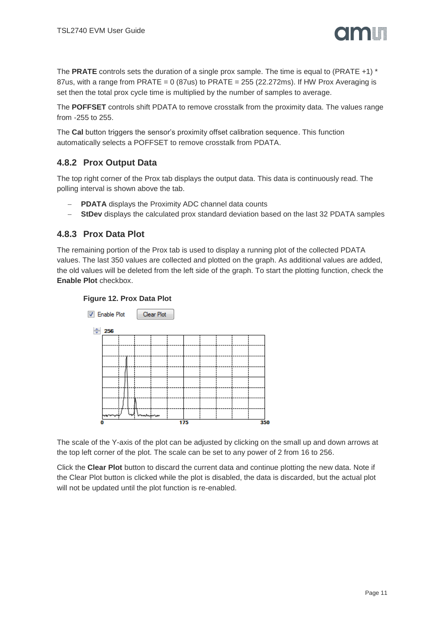

The **PRATE** controls sets the duration of a single prox sample. The time is equal to (PRATE +1) \* 87us, with a range from PRATE =  $0$  (87us) to PRATE = 255 (22.272ms). If HW Prox Averaging is set then the total prox cycle time is multiplied by the number of samples to average.

The **POFFSET** controls shift PDATA to remove crosstalk from the proximity data. The values range from -255 to 255.

The **Cal** button triggers the sensor's proximity offset calibration sequence. This function automatically selects a POFFSET to remove crosstalk from PDATA.

## **4.8.2 Prox Output Data**

The top right corner of the Prox tab displays the output data. This data is continuously read. The polling interval is shown above the tab.

- **PDATA** displays the Proximity ADC channel data counts
- **StDev** displays the calculated prox standard deviation based on the last 32 PDATA samples

#### **4.8.3 Prox Data Plot**

The remaining portion of the Prox tab is used to display a running plot of the collected PDATA values. The last 350 values are collected and plotted on the graph. As additional values are added, the old values will be deleted from the left side of the graph. To start the plotting function, check the **Enable Plot** checkbox.





The scale of the Y-axis of the plot can be adjusted by clicking on the small up and down arrows at the top left corner of the plot. The scale can be set to any power of 2 from 16 to 256.

Click the **Clear Plot** button to discard the current data and continue plotting the new data. Note if the Clear Plot button is clicked while the plot is disabled, the data is discarded, but the actual plot will not be updated until the plot function is re-enabled.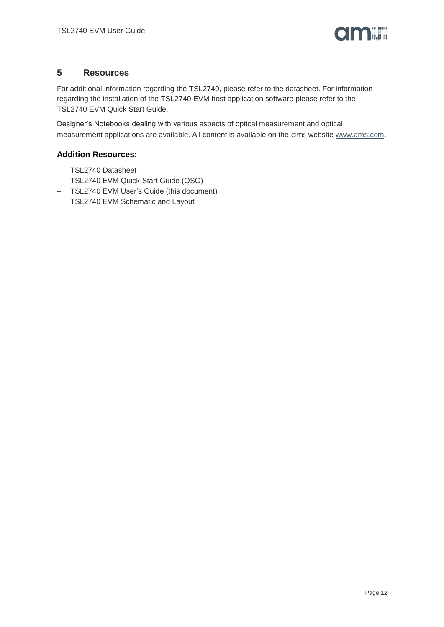

#### <span id="page-11-0"></span>**5 Resources**

For additional information regarding the TSL2740, please refer to the datasheet. For information regarding the installation of the TSL2740 EVM host application software please refer to the TSL2740 EVM Quick Start Guide.

Designer's Notebooks dealing with various aspects of optical measurement and optical measurement applications are available. All content is available on the ams website [www.ams.com.](http://www.ams.com/)

#### **Addition Resources:**

- TSL2740 Datasheet
- TSL2740 EVM Quick Start Guide (QSG)
- TSL2740 EVM User's Guide (this document)
- TSL2740 EVM Schematic and Layout